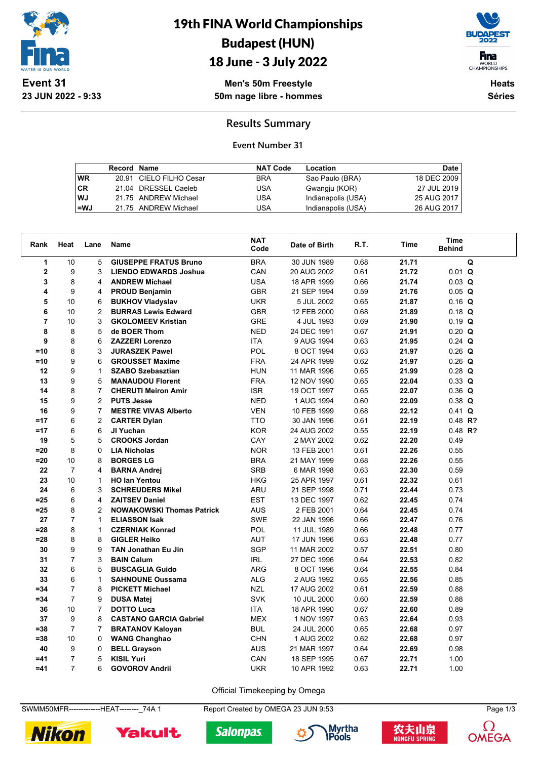

19th FINA World Championships Budapest (HUN)

### 18 June - 3 July 2022



**Men's 50m Freestyle 50m nage libre - hommes**

**Heats Séries**

#### **Results Summary**

#### **Event Number 31**

|           | Record Name |                         | <b>NAT Code</b> | Location           | Date        |
|-----------|-------------|-------------------------|-----------------|--------------------|-------------|
| <b>WR</b> |             | 20.91 CIELO FILHO Cesar | <b>BRA</b>      | Sao Paulo (BRA)    | 18 DEC 2009 |
| l CR      |             | 21.04 DRESSEL Caeleb    | USA             | Gwangju (KOR)      | 27 JUL 2019 |
| WJ.       |             | 21.75 ANDREW Michael    | USA             | Indianapolis (USA) | 25 AUG 2017 |
| l=WJ      |             | 21.75 ANDREW Michael    | USA             | Indianapolis (USA) | 26 AUG 2017 |

| Rank           | Heat           | Lane           | <b>Name</b>                      | <b>NAT</b><br>Code | Date of Birth | R.T. | Time  | Time<br><b>Behind</b> |  |
|----------------|----------------|----------------|----------------------------------|--------------------|---------------|------|-------|-----------------------|--|
| $\mathbf{1}$   | 10             | 5              | <b>GIUSEPPE FRATUS Bruno</b>     | <b>BRA</b>         | 30 JUN 1989   | 0.68 | 21.71 | Q                     |  |
| $\mathbf{2}$   | 9              | 3              | <b>LIENDO EDWARDS Joshua</b>     | CAN                | 20 AUG 2002   | 0.61 | 21.72 | $0.01$ Q              |  |
| 3              | 8              | 4              | <b>ANDREW Michael</b>            | <b>USA</b>         | 18 APR 1999   | 0.66 | 21.74 | $0.03$ Q              |  |
| 4              | 9              | 4              | <b>PROUD Benjamin</b>            | <b>GBR</b>         | 21 SEP 1994   | 0.59 | 21.76 | $0.05$ Q              |  |
| 5              | 10             | 6              | <b>BUKHOV Vladyslav</b>          | <b>UKR</b>         | 5 JUL 2002    | 0.65 | 21.87 | $0.16$ Q              |  |
| 6              | 10             | 2              | <b>BURRAS Lewis Edward</b>       | <b>GBR</b>         | 12 FEB 2000   | 0.68 | 21.89 | $0.18$ Q              |  |
| $\overline{7}$ | 10             | 3              | <b>GKOLOMEEV Kristian</b>        | <b>GRE</b>         | 4 JUL 1993    | 0.69 | 21.90 | $0.19$ Q              |  |
| 8              | 8              | 5              | de BOER Thom                     | <b>NED</b>         | 24 DEC 1991   | 0.67 | 21.91 | $0.20$ Q              |  |
| 9              | 8              | 6              | <b>ZAZZERI Lorenzo</b>           | <b>ITA</b>         | 9 AUG 1994    | 0.63 | 21.95 | $0.24$ Q              |  |
| $=10$          | 8              | 3              | <b>JURASZEK Pawel</b>            | <b>POL</b>         | 8 OCT 1994    | 0.63 | 21.97 | $0.26$ Q              |  |
| $=10$          | 9              | 6              | <b>GROUSSET Maxime</b>           | <b>FRA</b>         | 24 APR 1999   | 0.62 | 21.97 | $0.26$ Q              |  |
| 12             | 9              | $\mathbf{1}$   | <b>SZABO Szebasztian</b>         | <b>HUN</b>         | 11 MAR 1996   | 0.65 | 21.99 | $0.28$ Q              |  |
| 13             | 9              | 5              | <b>MANAUDOU Florent</b>          | <b>FRA</b>         | 12 NOV 1990   | 0.65 | 22.04 | $0.33 \tQ$            |  |
| 14             | 8              | $\overline{7}$ | <b>CHERUTI Meiron Amir</b>       | <b>ISR</b>         | 19 OCT 1997   | 0.65 | 22.07 | $0.36$ Q              |  |
| 15             | 9              | 2              | <b>PUTS Jesse</b>                | <b>NED</b>         | 1 AUG 1994    | 0.60 | 22.09 | $0.38$ Q              |  |
| 16             | 9              | $\overline{7}$ | <b>MESTRE VIVAS Alberto</b>      | <b>VEN</b>         | 10 FEB 1999   | 0.68 | 22.12 | $0.41$ Q              |  |
| $=17$          | 6              | 2              | <b>CARTER Dylan</b>              | <b>TTO</b>         | 30 JAN 1996   | 0.61 | 22.19 | $0.48$ R?             |  |
| $=17$          | 6              | 6              | JI Yuchan                        | <b>KOR</b>         | 24 AUG 2002   | 0.55 | 22.19 | $0.48$ R?             |  |
| 19             | 5              | 5              | <b>CROOKS Jordan</b>             | CAY                | 2 MAY 2002    | 0.62 | 22.20 | 0.49                  |  |
| $= 20$         | 8              | $\Omega$       | <b>LIA Nicholas</b>              | <b>NOR</b>         | 13 FEB 2001   | 0.61 | 22.26 | 0.55                  |  |
| $=20$          | 10             | 8              | <b>BORGES LG</b>                 | <b>BRA</b>         | 21 MAY 1999   | 0.68 | 22.26 | 0.55                  |  |
| 22             | $\overline{7}$ | 4              | <b>BARNA Andrei</b>              | <b>SRB</b>         | 6 MAR 1998    | 0.63 | 22.30 | 0.59                  |  |
| 23             | 10             | $\mathbf{1}$   | <b>HO lan Yentou</b>             | <b>HKG</b>         | 25 APR 1997   | 0.61 | 22.32 | 0.61                  |  |
| 24             | 6              | 3              | <b>SCHREUDERS Mikel</b>          | ARU                | 21 SEP 1998   | 0.71 | 22.44 | 0.73                  |  |
| $=25$          | 6              | 4              | <b>ZAITSEV Daniel</b>            | <b>EST</b>         | 13 DEC 1997   | 0.62 | 22.45 | 0.74                  |  |
| $=25$          | 8              | 2              | <b>NOWAKOWSKI Thomas Patrick</b> | AUS                | 2 FEB 2001    | 0.64 | 22.45 | 0.74                  |  |
| 27             | $\overline{7}$ | $\mathbf{1}$   | <b>ELIASSON Isak</b>             | <b>SWE</b>         | 22 JAN 1996   | 0.66 | 22.47 | 0.76                  |  |
| $=28$          | 8              | $\mathbf{1}$   | <b>CZERNIAK Konrad</b>           | POL                | 11 JUL 1989   | 0.66 | 22.48 | 0.77                  |  |
| $= 28$         | 8              | 8              | <b>GIGLER Heiko</b>              | AUT                | 17 JUN 1996   | 0.63 | 22.48 | 0.77                  |  |
| 30             | 9              | 9              | <b>TAN Jonathan Eu Jin</b>       | <b>SGP</b>         | 11 MAR 2002   | 0.57 | 22.51 | 0.80                  |  |
| 31             | $\overline{7}$ | 3              | <b>BAIN Calum</b>                | <b>IRL</b>         | 27 DEC 1996   | 0.64 | 22.53 | 0.82                  |  |
| 32             | 6              | 5              | <b>BUSCAGLIA Guido</b>           | <b>ARG</b>         | 8 OCT 1996    | 0.64 | 22.55 | 0.84                  |  |
| 33             | 6              | $\mathbf{1}$   | <b>SAHNOUNE Oussama</b>          | <b>ALG</b>         | 2 AUG 1992    | 0.65 | 22.56 | 0.85                  |  |
| $= 34$         | $\overline{7}$ | 8              | <b>PICKETT Michael</b>           | <b>NZL</b>         | 17 AUG 2002   | 0.61 | 22.59 | 0.88                  |  |
| $= 34$         | $\overline{7}$ | 9              | <b>DUSA Matej</b>                | <b>SVK</b>         | 10 JUL 2000   | 0.60 | 22.59 | 0.88                  |  |
| 36             | 10             | $\overline{7}$ | <b>DOTTO Luca</b>                | <b>ITA</b>         | 18 APR 1990   | 0.67 | 22.60 | 0.89                  |  |
| 37             | 9              | 8              | <b>CASTANO GARCIA Gabriel</b>    | <b>MEX</b>         | 1 NOV 1997    | 0.63 | 22.64 | 0.93                  |  |
| $= 38$         | $\overline{7}$ | $\overline{7}$ | <b>BRATANOV Kaloyan</b>          | <b>BUL</b>         | 24 JUL 2000   | 0.65 | 22.68 | 0.97                  |  |
| $= 38$         | 10             | 0              | <b>WANG Changhao</b>             | <b>CHN</b>         | 1 AUG 2002    | 0.62 | 22.68 | 0.97                  |  |
| 40             | 9              | 0              | <b>BELL Grayson</b>              | <b>AUS</b>         | 21 MAR 1997   | 0.64 | 22.69 | 0.98                  |  |
| $=41$          | 7              | 5              | <b>KISIL Yuri</b>                | CAN                | 18 SEP 1995   | 0.67 | 22.71 | 1.00                  |  |
| $=41$          | $\overline{7}$ | 6              | <b>GOVOROV Andrii</b>            | <b>UKR</b>         | 10 APR 1992   | 0.63 | 22.71 | 1.00                  |  |

Official Timekeeping by Omega

SWMM50MFR--------------HEAT---------<sub>-</sub>74A 1 Report Created by OMEGA 23 JUN 9:53 Page 1/3

**Salonpas** 









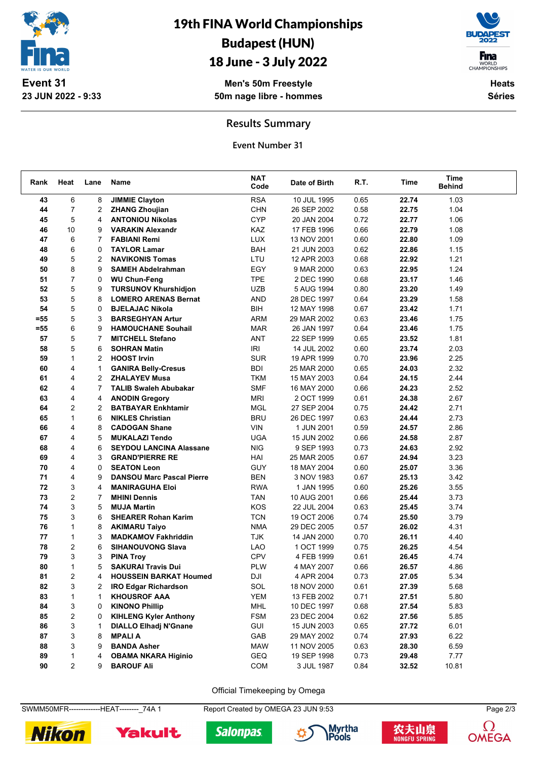

# 19th FINA World Championships Budapest (HUN)

### 18 June - 3 July 2022

**Men's 50m Freestyle 50m nage libre - hommes**

**F**ina WORLD<br>CHAMPIONSHIPS **Heats**

**Séries**

**Results Summary**

**Event Number 31**

| Rank  | Heat           | Lane           | Name                             | <b>NAT</b><br>Code | Date of Birth | R.T. | Time  | <b>Time</b><br><b>Behind</b> |  |
|-------|----------------|----------------|----------------------------------|--------------------|---------------|------|-------|------------------------------|--|
| 43    | 6              | 8              | <b>JIMMIE Clayton</b>            | <b>RSA</b>         | 10 JUL 1995   | 0.65 | 22.74 | 1.03                         |  |
| 44    | 7              | $\overline{2}$ | <b>ZHANG Zhoujian</b>            | CHN                | 26 SEP 2002   | 0.58 | 22.75 | 1.04                         |  |
| 45    | 5              | 4              | <b>ANTONIOU Nikolas</b>          | <b>CYP</b>         | 20 JAN 2004   | 0.72 | 22.77 | 1.06                         |  |
| 46    | 10             | 9              | <b>VARAKIN Alexandr</b>          | KAZ                | 17 FEB 1996   | 0.66 | 22.79 | 1.08                         |  |
| 47    | 6              | $\overline{7}$ | <b>FABIANI Remi</b>              | <b>LUX</b>         | 13 NOV 2001   | 0.60 | 22.80 | 1.09                         |  |
| 48    | 6              | 0              | <b>TAYLOR Lamar</b>              | <b>BAH</b>         | 21 JUN 2003   | 0.62 | 22.86 | 1.15                         |  |
| 49    | 5              | 2              | <b>NAVIKONIS Tomas</b>           | LTU                | 12 APR 2003   | 0.68 | 22.92 | 1.21                         |  |
| 50    | 8              | 9              | <b>SAMEH Abdelrahman</b>         | EGY                | 9 MAR 2000    | 0.63 | 22.95 | 1.24                         |  |
| 51    | $\overline{7}$ | 0              | <b>WU Chun-Feng</b>              | <b>TPE</b>         | 2 DEC 1990    | 0.68 | 23.17 | 1.46                         |  |
| 52    | 5              | 9              | <b>TURSUNOV Khurshidjon</b>      | <b>UZB</b>         | 5 AUG 1994    | 0.80 | 23.20 | 1.49                         |  |
| 53    | 5              | 8              | <b>LOMERO ARENAS Bernat</b>      | <b>AND</b>         | 28 DEC 1997   | 0.64 | 23.29 | 1.58                         |  |
| 54    | 5              | 0              | <b>BJELAJAC Nikola</b>           | BIH                | 12 MAY 1998   | 0.67 | 23.42 | 1.71                         |  |
| =55   | 5              | 3              | <b>BARSEGHYAN Artur</b>          | ARM                | 29 MAR 2002   | 0.63 | 23.46 | 1.75                         |  |
| $=55$ | 6              | 9              | <b>HAMOUCHANE Souhail</b>        | <b>MAR</b>         | 26 JAN 1997   | 0.64 | 23.46 | 1.75                         |  |
| 57    | 5              | $\overline{7}$ | <b>MITCHELL Stefano</b>          | <b>ANT</b>         | 22 SEP 1999   | 0.65 | 23.52 | 1.81                         |  |
| 58    | 5              | 6              | <b>SOHRAN Matin</b>              | <b>IRI</b>         | 14 JUL 2002   | 0.60 | 23.74 | 2.03                         |  |
| 59    | $\mathbf{1}$   | $\overline{2}$ | <b>HOOST Irvin</b>               | <b>SUR</b>         | 19 APR 1999   | 0.70 | 23.96 | 2.25                         |  |
| 60    | 4              | 1              | <b>GANIRA Belly-Cresus</b>       | <b>BDI</b>         | 25 MAR 2000   | 0.65 | 24.03 | 2.32                         |  |
| 61    | 4              | 2              | <b>ZHALAYEV Musa</b>             | <b>TKM</b>         | 15 MAY 2003   | 0.64 | 24.15 | 2.44                         |  |
| 62    | 4              | $\overline{7}$ | <b>TALIB Swaleh Abubakar</b>     | <b>SMF</b>         | 16 MAY 2000   | 0.66 | 24.23 | 2.52                         |  |
| 63    | 4              | 4              | <b>ANODIN Gregory</b>            | <b>MRI</b>         | 2 OCT 1999    | 0.61 | 24.38 | 2.67                         |  |
| 64    | $\overline{2}$ | $\overline{2}$ | <b>BATBAYAR Enkhtamir</b>        | <b>MGL</b>         | 27 SEP 2004   | 0.75 | 24.42 | 2.71                         |  |
| 65    | $\mathbf{1}$   | 6              | <b>NIKLES Christian</b>          | <b>BRU</b>         | 26 DEC 1997   | 0.63 | 24.44 | 2.73                         |  |
| 66    | 4              | 8              | <b>CADOGAN Shane</b>             | <b>VIN</b>         | 1 JUN 2001    | 0.59 | 24.57 | 2.86                         |  |
| 67    | 4              | 5              | <b>MUKALAZI Tendo</b>            | <b>UGA</b>         | 15 JUN 2002   | 0.66 | 24.58 | 2.87                         |  |
| 68    | 4              | 6              | <b>SEYDOU LANCINA Alassane</b>   | <b>NIG</b>         | 9 SEP 1993    | 0.73 | 24.63 | 2.92                         |  |
| 69    | 4              | 3              | <b>GRAND'PIERRE RE</b>           | HAI                | 25 MAR 2005   | 0.67 | 24.94 | 3.23                         |  |
| 70    | 4              | 0              | <b>SEATON Leon</b>               | <b>GUY</b>         | 18 MAY 2004   | 0.60 | 25.07 | 3.36                         |  |
| 71    | 4              | 9              | <b>DANSOU Marc Pascal Pierre</b> | <b>BEN</b>         | 3 NOV 1983    | 0.67 | 25.13 | 3.42                         |  |
| 72    | 3              | 4              | <b>MANIRAGUHA Eloi</b>           | <b>RWA</b>         | 1 JAN 1995    | 0.60 | 25.26 | 3.55                         |  |
| 73    | 2              | 7              | <b>MHINI Dennis</b>              | <b>TAN</b>         | 10 AUG 2001   | 0.66 | 25.44 | 3.73                         |  |
| 74    | 3              | 5              | <b>MUJA Martin</b>               | KOS                | 22 JUL 2004   | 0.63 | 25.45 | 3.74                         |  |
| 75    | 3              | 6              | <b>SHEARER Rohan Karim</b>       | <b>TCN</b>         | 19 OCT 2006   | 0.74 | 25.50 | 3.79                         |  |
| 76    | $\mathbf{1}$   | 8              | <b>AKIMARU Taiyo</b>             | <b>NMA</b>         | 29 DEC 2005   | 0.57 | 26.02 | 4.31                         |  |
| 77    | 1              | 3              | <b>MADKAMOV Fakhriddin</b>       | <b>TJK</b>         | 14 JAN 2000   | 0.70 | 26.11 | 4.40                         |  |
| 78    | 2              | 6              | <b>SIHANOUVONG Slava</b>         | <b>LAO</b>         | 1 OCT 1999    | 0.75 | 26.25 | 4.54                         |  |
| 79    | 3              | 3              | <b>PINA Troy</b>                 | <b>CPV</b>         | 4 FEB 1999    | 0.61 | 26.45 | 4.74                         |  |
| 80    | $\mathbf{1}$   | 5              | <b>SAKURAI Travis Dui</b>        | <b>PLW</b>         | 4 MAY 2007    | 0.66 | 26.57 | 4.86                         |  |
| 81    | 2              | 4              | <b>HOUSSEIN BARKAT Houmed</b>    | DJI                | 4 APR 2004    | 0.73 | 27.05 | 5.34                         |  |
| 82    | 3              | 2              | <b>IRO Edgar Richardson</b>      | SOL                | 18 NOV 2000   | 0.61 | 27.39 | 5.68                         |  |
| 83    | $\mathbf{1}$   | 1              | <b>KHOUSROF AAA</b>              | <b>YEM</b>         | 13 FEB 2002   | 0.71 | 27.51 | 5.80                         |  |
| 84    | 3              | 0              | <b>KINONO Phillip</b>            | <b>MHL</b>         | 10 DEC 1997   | 0.68 | 27.54 | 5.83                         |  |
| 85    | 2              | 0              | <b>KIHLENG Kyler Anthony</b>     | <b>FSM</b>         | 23 DEC 2004   | 0.62 | 27.56 | 5.85                         |  |
| 86    | 3              | 1              | <b>DIALLO Elhadj N'Gnane</b>     | GUI                | 15 JUN 2003   | 0.65 | 27.72 | 6.01                         |  |
| 87    | 3              | 8              | <b>MPALIA</b>                    | GAB                | 29 MAY 2002   | 0.74 | 27.93 | 6.22                         |  |
| 88    | 3              | 9              | <b>BANDA Asher</b>               | <b>MAW</b>         | 11 NOV 2005   | 0.63 | 28.30 | 6.59                         |  |
| 89    | 1              | 4              | <b>OBAMA NKARA Higinio</b>       | GEQ                | 19 SEP 1998   | 0.73 | 29.48 | 7.77                         |  |
| 90    | $\overline{2}$ | 9              | <b>BAROUF Ali</b>                | COM                | 3 JUL 1987    | 0.84 | 32.52 | 10.81                        |  |

Official Timekeeping by Omega

SWMM50MFR--------------HEAT---------\_74A 1 Report Created by OMEGA 23 JUN 9:53 Page 2/3